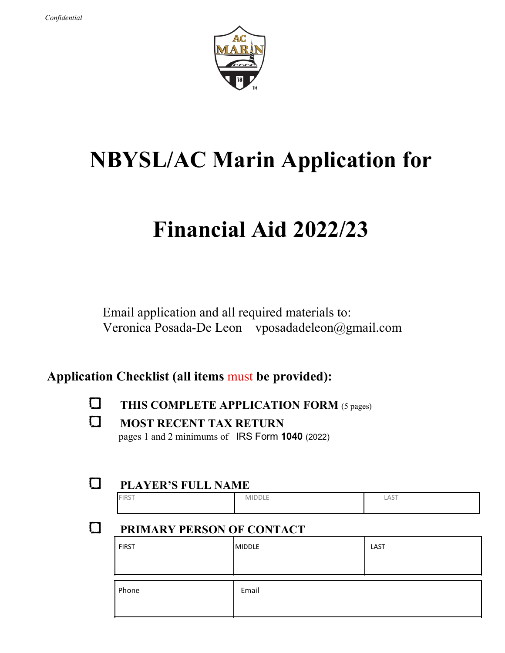

# **NBYSL/AC Marin Application for**

# **Financial Aid 2022/23**

Email application and all required materials to: Veronica Posada-De Leon vposadadeleon@gmail.com

## **Application Checklist (all items** must **be provided):**

**THIS COMPLETE APPLICATION FORM** (5 pages)

**MOST RECENT TAX RETURN** pages 1 and 2 minimums of IRS Form **1040** (2022)

### **PLAYER'S FULL NAME**

| <b>FIRST</b> | $\sim$<br>$ -$<br>MIDDLL | $A \cap T$<br>LAS |
|--------------|--------------------------|-------------------|
|              |                          |                   |

## **PRIMARY PERSON OF CONTACT**

| <b>FIRST</b> | MIDDLE | LAST |
|--------------|--------|------|
| Phone        | Email  |      |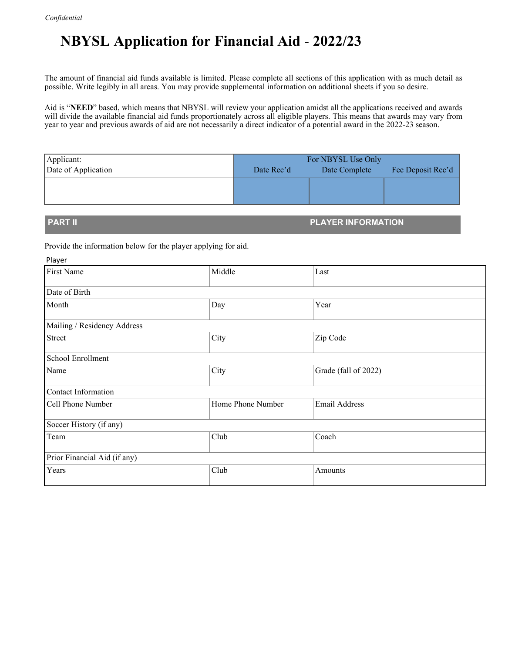## **NBYSL Application for Financial Aid** - **2022/23**

The amount of financial aid funds available is limited. Please complete all sections of this application with as much detail as possible. Write legibly in all areas. You may provide supplemental information on additional sheets if you so desire.

Aid is "**NEED**" based, which means that NBYSL will review your application amidst all the applications received and awards will divide the available financial aid funds proportionately across all eligible players. This means that awards may vary from year to year and previous awards of aid are not necessarily a direct indicator of a potential award in the 2022-23 season.

| Applicant:          | For NBYSL Use Only |               |                   |
|---------------------|--------------------|---------------|-------------------|
| Date of Application | Date Rec'd         | Date Complete | Fee Deposit Rec'd |
|                     |                    |               |                   |
|                     |                    |               |                   |
|                     |                    |               |                   |

**PART II PLAYER INFORMATION**

Provide the information below for the player applying for aid.

| Player                       |                   |                      |  |  |
|------------------------------|-------------------|----------------------|--|--|
| First Name                   | Middle            | Last                 |  |  |
| Date of Birth                |                   |                      |  |  |
| Month                        | Day               | Year                 |  |  |
| Mailing / Residency Address  |                   |                      |  |  |
| Street                       | City              | Zip Code             |  |  |
| School Enrollment            |                   |                      |  |  |
| Name                         | City              | Grade (fall of 2022) |  |  |
| Contact Information          |                   |                      |  |  |
| Cell Phone Number            | Home Phone Number | <b>Email Address</b> |  |  |
| Soccer History (if any)      |                   |                      |  |  |
| Team                         | Club              | Coach                |  |  |
| Prior Financial Aid (if any) |                   |                      |  |  |
| Years                        | Club              | Amounts              |  |  |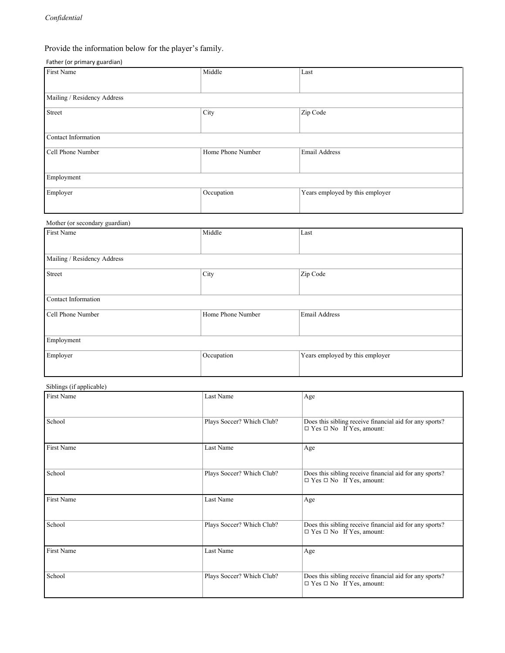### Provide the information below for the player's family.

### Father (or primary guardian)

| $\frac{1}{2}$<br>First Name    | Middle            | Last                            |  |  |
|--------------------------------|-------------------|---------------------------------|--|--|
|                                |                   |                                 |  |  |
|                                |                   |                                 |  |  |
| Mailing / Residency Address    |                   |                                 |  |  |
| Street                         | City              | Zip Code                        |  |  |
|                                |                   |                                 |  |  |
| Contact Information            |                   |                                 |  |  |
| Cell Phone Number              | Home Phone Number | Email Address                   |  |  |
|                                |                   |                                 |  |  |
| Employment                     |                   |                                 |  |  |
| Employer                       | Occupation        | Years employed by this employer |  |  |
|                                |                   |                                 |  |  |
|                                |                   |                                 |  |  |
| Mother (or secondary guardian) |                   |                                 |  |  |
| First Name                     | Middle            | Last                            |  |  |
|                                |                   |                                 |  |  |
| Mailing / Residency Address    |                   |                                 |  |  |
| Street                         | City              | Zip Code                        |  |  |
|                                |                   |                                 |  |  |
| Contact Information            |                   |                                 |  |  |
| Cell Phone Number              | Home Phone Number | Email Address                   |  |  |
|                                |                   |                                 |  |  |
| Employment                     |                   |                                 |  |  |
| Employer                       | Occupation        | Years employed by this employer |  |  |
|                                |                   |                                 |  |  |
|                                |                   |                                 |  |  |

### Siblings (if applicable)

| First Name | Last Name                 | Age                                                                                             |
|------------|---------------------------|-------------------------------------------------------------------------------------------------|
| School     | Plays Soccer? Which Club? | Does this sibling receive financial aid for any sports?<br>$\Box$ Yes $\Box$ No If Yes, amount: |
| First Name | Last Name                 | Age                                                                                             |
| School     | Plays Soccer? Which Club? | Does this sibling receive financial aid for any sports?<br>$\Box$ Yes $\Box$ No If Yes, amount: |
| First Name | Last Name                 | Age                                                                                             |
| School     | Plays Soccer? Which Club? | Does this sibling receive financial aid for any sports?<br>$\Box$ Yes $\Box$ No If Yes, amount: |
| First Name | Last Name                 | Age                                                                                             |
| School     | Plays Soccer? Which Club? | Does this sibling receive financial aid for any sports?<br>$\Box$ Yes $\Box$ No If Yes, amount: |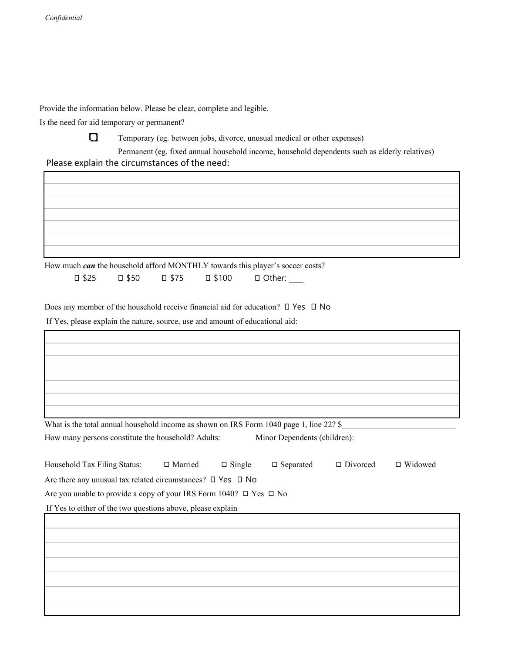Provide the information below. Please be clear, complete and legible.

Is the need for aid temporary or permanent?



Temporary (eg. between jobs, divorce, unusual medical or other expenses)

 Permanent (eg. fixed annual household income, household dependents such as elderly relatives) Please explain the circumstances of the need:

How much *can* the household afford MONTHLY towards this player's soccer costs?

Does any member of the household receive financial aid for education? ◻ Yes ◻ No

If Yes, please explain the nature, source, use and amount of educational aid:

| What is the total annual household income as shown on IRS Form 1040 page 1, line 22? \$ |                              |
|-----------------------------------------------------------------------------------------|------------------------------|
| How many persons constitute the household? Adults:                                      | Minor Dependents (children): |

| Household Tax Filing Status:                                                 | $\Box$ Married | $\Box$ Single | $\Box$ Separated | $\Box$ Divorced | $\Box$ Widowed |
|------------------------------------------------------------------------------|----------------|---------------|------------------|-----------------|----------------|
| Are there any unusual tax related circumstances? $\square$ Yes $\square$ No  |                |               |                  |                 |                |
| Are you unable to provide a copy of your IRS Form 1040? $\Box$ Yes $\Box$ No |                |               |                  |                 |                |
| If Yes to either of the two questions above, please explain                  |                |               |                  |                 |                |
|                                                                              |                |               |                  |                 |                |
|                                                                              |                |               |                  |                 |                |
|                                                                              |                |               |                  |                 |                |
|                                                                              |                |               |                  |                 |                |
|                                                                              |                |               |                  |                 |                |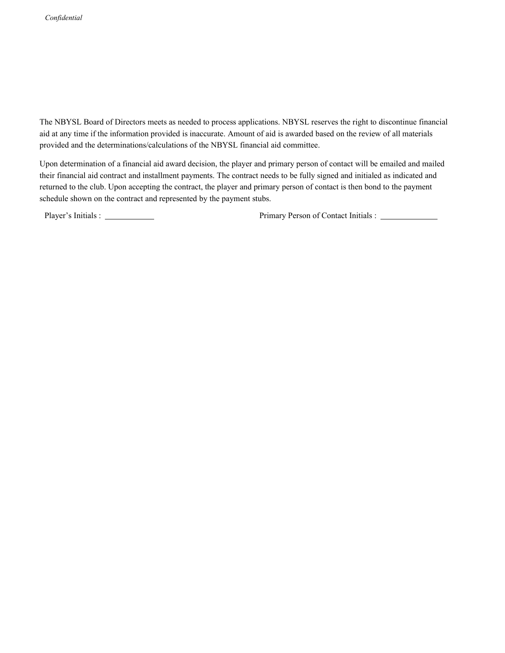The NBYSL Board of Directors meets as needed to process applications. NBYSL reserves the right to discontinue financial aid at any time if the information provided is inaccurate. Amount of aid is awarded based on the review of all materials provided and the determinations/calculations of the NBYSL financial aid committee.

Upon determination of a financial aid award decision, the player and primary person of contact will be emailed and mailed their financial aid contract and installment payments. The contract needs to be fully signed and initialed as indicated and returned to the club. Upon accepting the contract, the player and primary person of contact is then bond to the payment schedule shown on the contract and represented by the payment stubs.

Player's Initials : Primary Person of Contact Initials :